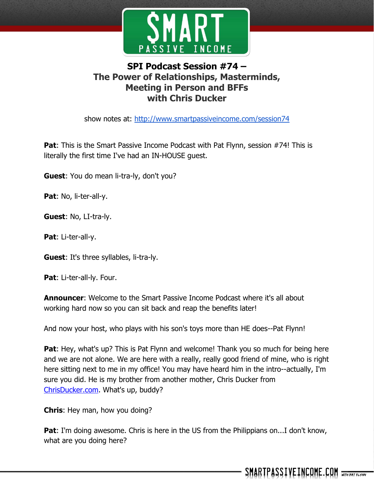

## **SPI Podcast Session #74 – The Power of Relationships, Masterminds, Meeting in Person and BFFs with Chris Ducker**

show notes at: http://www.smartpassiveincome.com/session74

**Pat:** This is the Smart Passive Income Podcast with Pat Flynn, session #74! This is literally the first time I've had an IN-HOUSE guest.

**Guest**: You do mean li-tra-ly, don't you?

**Pat**: No, li-ter-all-y.

**Guest**: No, LI-tra-ly.

**Pat**: Li-ter-all-y.

**Guest**: It's three syllables, li-tra-ly.

**Pat**: Li-ter-all-ly. Four.

**Announcer**: Welcome to the Smart Passive Income Podcast where it's all about working hard now so you can sit back and reap the benefits later!

And now your host, who plays with his son's toys more than HE does--Pat Flynn!

**Pat:** Hey, what's up? This is Pat Flynn and welcome! Thank you so much for being here and we are not alone. We are here with a really, really good friend of mine, who is right here sitting next to me in my office! You may have heard him in the intro--actually, I'm sure you did. He is my brother from another mother, Chris Ducker from [ChrisDucker.com.](http://chrisducker.com/) What's up, buddy?

**Chris**: Hey man, how you doing?

**Pat**: I'm doing awesome. Chris is here in the US from the Philippians on...I don't know, what are you doing here?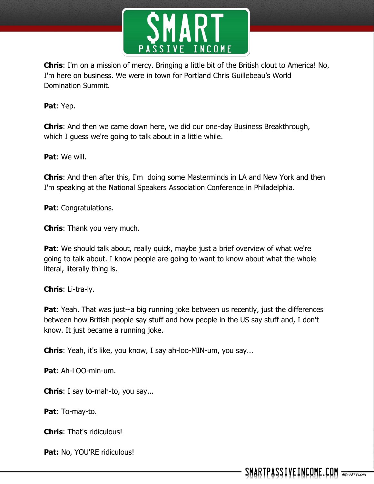

**Chris**: I'm on a mission of mercy. Bringing a little bit of the British clout to America! No, I'm here on business. We were in town for Portland Chris Guillebeau's World Domination Summit.

**Pat**: Yep.

**Chris**: And then we came down here, we did our one-day Business Breakthrough, which I guess we're going to talk about in a little while.

**Pat**: We will.

**Chris**: And then after this, I'm doing some Masterminds in LA and New York and then I'm speaking at the National Speakers Association Conference in Philadelphia.

**Pat**: Congratulations.

**Chris**: Thank you very much.

**Pat:** We should talk about, really quick, maybe just a brief overview of what we're going to talk about. I know people are going to want to know about what the whole literal, literally thing is.

**Chris**: Li-tra-ly.

**Pat**: Yeah. That was just--a big running joke between us recently, just the differences between how British people say stuff and how people in the US say stuff and, I don't know. It just became a running joke.

**Chris**: Yeah, it's like, you know, I say ah-loo-MIN-um, you say...

**Pat**: Ah-LOO-min-um.

**Chris**: I say to-mah-to, you say...

**Pat**: To-may-to.

**Chris**: That's ridiculous!

Pat: No, YOU'RE ridiculous!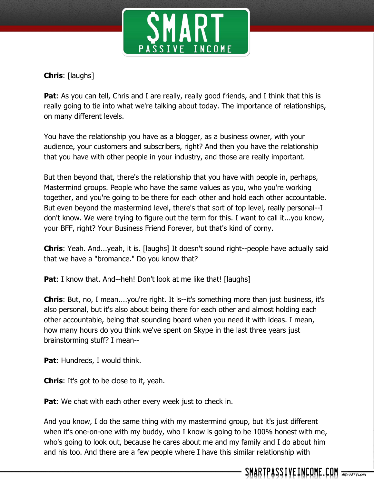

**Chris**: [laughs]

**Pat:** As you can tell, Chris and I are really, really good friends, and I think that this is really going to tie into what we're talking about today. The importance of relationships, on many different levels.

You have the relationship you have as a blogger, as a business owner, with your audience, your customers and subscribers, right? And then you have the relationship that you have with other people in your industry, and those are really important.

But then beyond that, there's the relationship that you have with people in, perhaps, Mastermind groups. People who have the same values as you, who you're working together, and you're going to be there for each other and hold each other accountable. But even beyond the mastermind level, there's that sort of top level, really personal--I don't know. We were trying to figure out the term for this. I want to call it...you know, your BFF, right? Your Business Friend Forever, but that's kind of corny.

**Chris:** Yeah. And...yeah, it is. [laughs] It doesn't sound right--people have actually said that we have a "bromance." Do you know that?

**Pat:** I know that. And--heh! Don't look at me like that! [laughs]

**Chris**: But, no, I mean....you're right. It is--it's something more than just business, it's also personal, but it's also about being there for each other and almost holding each other accountable, being that sounding board when you need it with ideas. I mean, how many hours do you think we've spent on Skype in the last three years just brainstorming stuff? I mean--

**Pat**: Hundreds, I would think.

**Chris**: It's got to be close to it, yeah.

**Pat:** We chat with each other every week just to check in.

And you know, I do the same thing with my mastermind group, but it's just different when it's one-on-one with my buddy, who I know is going to be 100% honest with me, who's going to look out, because he cares about me and my family and I do about him and his too. And there are a few people where I have this similar relationship with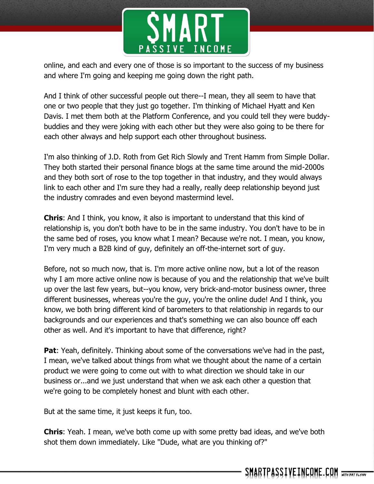

online, and each and every one of those is so important to the success of my business and where I'm going and keeping me going down the right path.

And I think of other successful people out there--I mean, they all seem to have that one or two people that they just go together. I'm thinking of Michael Hyatt and Ken Davis. I met them both at the Platform Conference, and you could tell they were buddybuddies and they were joking with each other but they were also going to be there for each other always and help support each other throughout business.

I'm also thinking of J.D. Roth from Get Rich Slowly and Trent Hamm from Simple Dollar. They both started their personal finance blogs at the same time around the mid-2000s and they both sort of rose to the top together in that industry, and they would always link to each other and I'm sure they had a really, really deep relationship beyond just the industry comrades and even beyond mastermind level.

**Chris**: And I think, you know, it also is important to understand that this kind of relationship is, you don't both have to be in the same industry. You don't have to be in the same bed of roses, you know what I mean? Because we're not. I mean, you know, I'm very much a B2B kind of guy, definitely an off-the-internet sort of guy.

Before, not so much now, that is. I'm more active online now, but a lot of the reason why I am more active online now is because of you and the relationship that we've built up over the last few years, but--you know, very brick-and-motor business owner, three different businesses, whereas you're the guy, you're the online dude! And I think, you know, we both bring different kind of barometers to that relationship in regards to our backgrounds and our experiences and that's something we can also bounce off each other as well. And it's important to have that difference, right?

**Pat:** Yeah, definitely. Thinking about some of the conversations we've had in the past, I mean, we've talked about things from what we thought about the name of a certain product we were going to come out with to what direction we should take in our business or...and we just understand that when we ask each other a question that we're going to be completely honest and blunt with each other.

But at the same time, it just keeps it fun, too.

**Chris**: Yeah. I mean, we've both come up with some pretty bad ideas, and we've both shot them down immediately. Like "Dude, what are you thinking of?"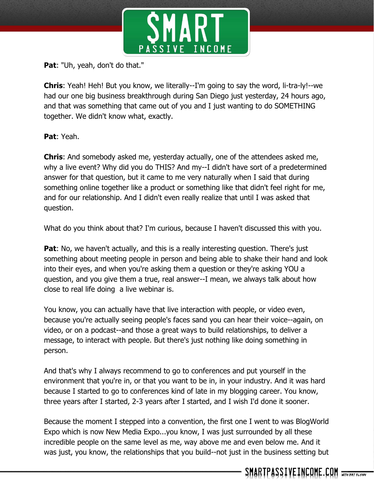

**Pat**: "Uh, yeah, don't do that."

**Chris**: Yeah! Heh! But you know, we literally--I'm going to say the word, li-tra-ly!--we had our one big business breakthrough during San Diego just yesterday, 24 hours ago, and that was something that came out of you and I just wanting to do SOMETHING together. We didn't know what, exactly.

**Pat**: Yeah.

**Chris**: And somebody asked me, yesterday actually, one of the attendees asked me, why a live event? Why did you do THIS? And my--I didn't have sort of a predetermined answer for that question, but it came to me very naturally when I said that during something online together like a product or something like that didn't feel right for me, and for our relationship. And I didn't even really realize that until I was asked that question.

What do you think about that? I'm curious, because I haven't discussed this with you.

**Pat:** No, we haven't actually, and this is a really interesting question. There's just something about meeting people in person and being able to shake their hand and look into their eyes, and when you're asking them a question or they're asking YOU a question, and you give them a true, real answer--I mean, we always talk about how close to real life doing a live webinar is.

You know, you can actually have that live interaction with people, or video even, because you're actually seeing people's faces sand you can hear their voice--again, on video, or on a podcast--and those a great ways to build relationships, to deliver a message, to interact with people. But there's just nothing like doing something in person.

And that's why I always recommend to go to conferences and put yourself in the environment that you're in, or that you want to be in, in your industry. And it was hard because I started to go to conferences kind of late in my blogging career. You know, three years after I started, 2-3 years after I started, and I wish I'd done it sooner.

Because the moment I stepped into a convention, the first one I went to was BlogWorld Expo which is now New Media Expo...you know, I was just surrounded by all these incredible people on the same level as me, way above me and even below me. And it was just, you know, the relationships that you build--not just in the business setting but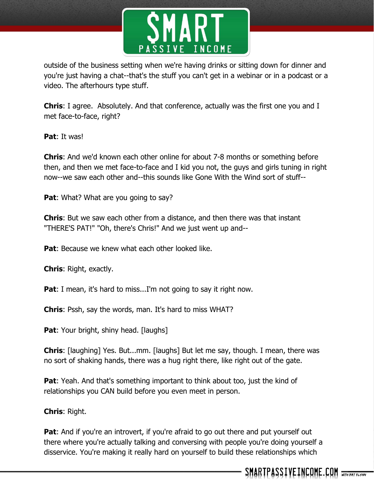

outside of the business setting when we're having drinks or sitting down for dinner and you're just having a chat--that's the stuff you can't get in a webinar or in a podcast or a video. The afterhours type stuff.

**Chris**: I agree. Absolutely. And that conference, actually was the first one you and I met face-to-face, right?

**Pat**: It was!

**Chris**: And we'd known each other online for about 7-8 months or something before then, and then we met face-to-face and I kid you not, the guys and girls tuning in right now--we saw each other and--this sounds like Gone With the Wind sort of stuff--

**Pat:** What? What are you going to say?

**Chris**: But we saw each other from a distance, and then there was that instant "THERE'S PAT!" "Oh, there's Chris!" And we just went up and--

**Pat:** Because we knew what each other looked like.

**Chris**: Right, exactly.

**Pat**: I mean, it's hard to miss...I'm not going to say it right now.

**Chris**: Pssh, say the words, man. It's hard to miss WHAT?

**Pat:** Your bright, shiny head. [laughs]

**Chris**: [laughing] Yes. But...mm. [laughs] But let me say, though. I mean, there was no sort of shaking hands, there was a hug right there, like right out of the gate.

**Pat:** Yeah. And that's something important to think about too, just the kind of relationships you CAN build before you even meet in person.

**Chris**: Right.

**Pat**: And if you're an introvert, if you're afraid to go out there and put yourself out there where you're actually talking and conversing with people you're doing yourself a disservice. You're making it really hard on yourself to build these relationships which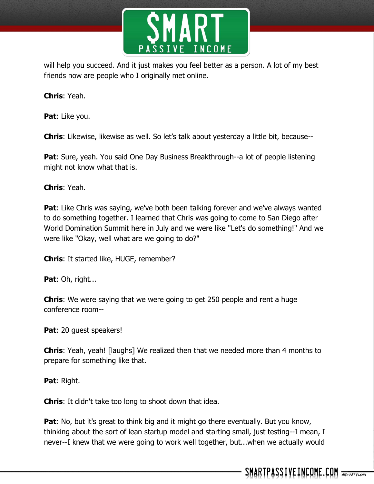

will help you succeed. And it just makes you feel better as a person. A lot of my best friends now are people who I originally met online.

**Chris**: Yeah.

**Pat**: Like you.

**Chris**: Likewise, likewise as well. So let's talk about yesterday a little bit, because--

**Pat:** Sure, yeah. You said One Day Business Breakthrough--a lot of people listening might not know what that is.

**Chris**: Yeah.

**Pat**: Like Chris was saying, we've both been talking forever and we've always wanted to do something together. I learned that Chris was going to come to San Diego after World Domination Summit here in July and we were like "Let's do something!" And we were like "Okay, well what are we going to do?"

**Chris**: It started like, HUGE, remember?

Pat: Oh, right...

**Chris**: We were saying that we were going to get 250 people and rent a huge conference room--

Pat: 20 quest speakers!

**Chris**: Yeah, yeah! [laughs] We realized then that we needed more than 4 months to prepare for something like that.

**Pat**: Right.

**Chris**: It didn't take too long to shoot down that idea.

**Pat:** No, but it's great to think big and it might go there eventually. But you know, thinking about the sort of lean startup model and starting small, just testing--I mean, I never--I knew that we were going to work well together, but...when we actually would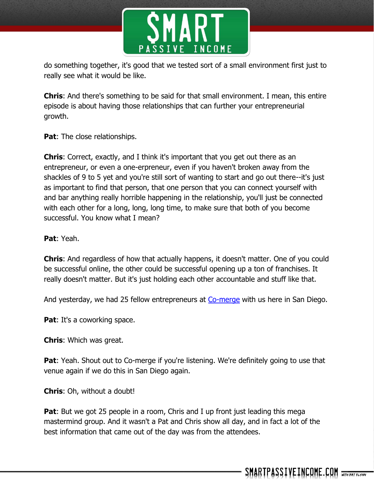

do something together, it's good that we tested sort of a small environment first just to really see what it would be like.

**Chris**: And there's something to be said for that small environment. I mean, this entire episode is about having those relationships that can further your entrepreneurial growth.

**Pat:** The close relationships.

**Chris**: Correct, exactly, and I think it's important that you get out there as an entrepreneur, or even a one-erpreneur, even if you haven't broken away from the shackles of 9 to 5 yet and you're still sort of wanting to start and go out there--it's just as important to find that person, that one person that you can connect yourself with and bar anything really horrible happening in the relationship, you'll just be connected with each other for a long, long, long time, to make sure that both of you become successful. You know what I mean?

**Pat**: Yeah.

**Chris**: And regardless of how that actually happens, it doesn't matter. One of you could be successful online, the other could be successful opening up a ton of franchises. It really doesn't matter. But it's just holding each other accountable and stuff like that.

And yesterday, we had 25 fellow entrepreneurs at [Co-merge](http://www.co-merge.com/) with us here in San Diego.

**Pat:** It's a coworking space.

**Chris**: Which was great.

**Pat:** Yeah. Shout out to Co-merge if you're listening. We're definitely going to use that venue again if we do this in San Diego again.

**Chris**: Oh, without a doubt!

**Pat**: But we got 25 people in a room, Chris and I up front just leading this mega mastermind group. And it wasn't a Pat and Chris show all day, and in fact a lot of the best information that came out of the day was from the attendees.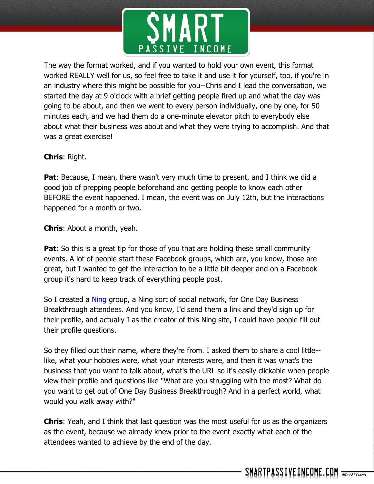

The way the format worked, and if you wanted to hold your own event, this format worked REALLY well for us, so feel free to take it and use it for yourself, too, if you're in an industry where this might be possible for you--Chris and I lead the conversation, we started the day at 9 o'clock with a brief getting people fired up and what the day was going to be about, and then we went to every person individually, one by one, for 50 minutes each, and we had them do a one-minute elevator pitch to everybody else about what their business was about and what they were trying to accomplish. And that was a great exercise!

## **Chris**: Right.

**Pat**: Because, I mean, there wasn't very much time to present, and I think we did a good job of prepping people beforehand and getting people to know each other BEFORE the event happened. I mean, the event was on July 12th, but the interactions happened for a month or two.

**Chris**: About a month, yeah.

**Pat**: So this is a great tip for those of you that are holding these small community events. A lot of people start these Facebook groups, which are, you know, those are great, but I wanted to get the interaction to be a little bit deeper and on a Facebook group it's hard to keep track of everything people post.

So I created a [Ning](http://www.ning.com/) group, a Ning sort of social network, for One Day Business Breakthrough attendees. And you know, I'd send them a link and they'd sign up for their profile, and actually I as the creator of this Ning site, I could have people fill out their profile questions.

So they filled out their name, where they're from. I asked them to share a cool little- like, what your hobbies were, what your interests were, and then it was what's the business that you want to talk about, what's the URL so it's easily clickable when people view their profile and questions like "What are you struggling with the most? What do you want to get out of One Day Business Breakthrough? And in a perfect world, what would you walk away with?"

**Chris**: Yeah, and I think that last question was the most useful for us as the organizers as the event, because we already knew prior to the event exactly what each of the attendees wanted to achieve by the end of the day.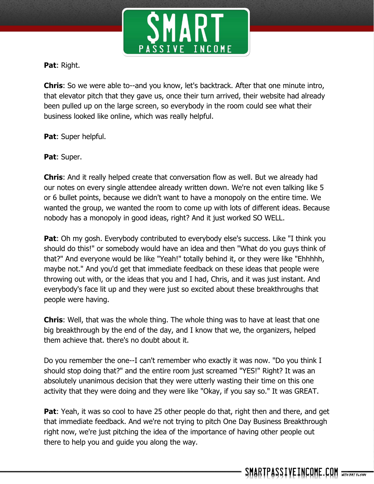

**Pat**: Right.

**Chris**: So we were able to--and you know, let's backtrack. After that one minute intro, that elevator pitch that they gave us, once their turn arrived, their website had already been pulled up on the large screen, so everybody in the room could see what their business looked like online, which was really helpful.

**Pat**: Super helpful.

**Pat**: Super.

**Chris**: And it really helped create that conversation flow as well. But we already had our notes on every single attendee already written down. We're not even talking like 5 or 6 bullet points, because we didn't want to have a monopoly on the entire time. We wanted the group, we wanted the room to come up with lots of different ideas. Because nobody has a monopoly in good ideas, right? And it just worked SO WELL.

**Pat**: Oh my gosh. Everybody contributed to everybody else's success. Like "I think you should do this!" or somebody would have an idea and then "What do you guys think of that?" And everyone would be like "Yeah!" totally behind it, or they were like "Ehhhhh, maybe not." And you'd get that immediate feedback on these ideas that people were throwing out with, or the ideas that you and I had, Chris, and it was just instant. And everybody's face lit up and they were just so excited about these breakthroughs that people were having.

**Chris**: Well, that was the whole thing. The whole thing was to have at least that one big breakthrough by the end of the day, and I know that we, the organizers, helped them achieve that. there's no doubt about it.

Do you remember the one--I can't remember who exactly it was now. "Do you think I should stop doing that?" and the entire room just screamed "YES!" Right? It was an absolutely unanimous decision that they were utterly wasting their time on this one activity that they were doing and they were like "Okay, if you say so." It was GREAT.

**Pat**: Yeah, it was so cool to have 25 other people do that, right then and there, and get that immediate feedback. And we're not trying to pitch One Day Business Breakthrough right now, we're just pitching the idea of the importance of having other people out there to help you and guide you along the way.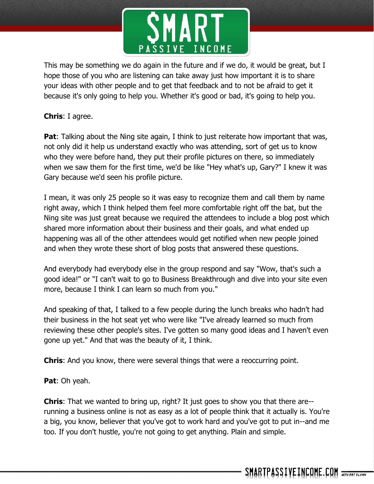

This may be something we do again in the future and if we do, it would be great, but I hope those of you who are listening can take away just how important it is to share your ideas with other people and to get that feedback and to not be afraid to get it because it's only going to help you. Whether it's good or bad, it's going to help you.

## **Chris**: I agree.

**Pat**: Talking about the Ning site again, I think to just reiterate how important that was, not only did it help us understand exactly who was attending, sort of get us to know who they were before hand, they put their profile pictures on there, so immediately when we saw them for the first time, we'd be like "Hey what's up, Gary?" I knew it was Gary because we'd seen his profile picture.

I mean, it was only 25 people so it was easy to recognize them and call them by name right away, which I think helped them feel more comfortable right off the bat, but the Ning site was just great because we required the attendees to include a blog post which shared more information about their business and their goals, and what ended up happening was all of the other attendees would get notified when new people joined and when they wrote these short of blog posts that answered these questions.

And everybody had everybody else in the group respond and say "Wow, that's such a good idea!" or "I can't wait to go to Business Breakthrough and dive into your site even more, because I think I can learn so much from you."

And speaking of that, I talked to a few people during the lunch breaks who hadn't had their business in the hot seat yet who were like "I've already learned so much from reviewing these other people's sites. I've gotten so many good ideas and I haven't even gone up yet." And that was the beauty of it, I think.

**Chris**: And you know, there were several things that were a reoccurring point.

**Pat**: Oh yeah.

**Chris**: That we wanted to bring up, right? It just goes to show you that there are- running a business online is not as easy as a lot of people think that it actually is. You're a big, you know, believer that you've got to work hard and you've got to put in--and me too. If you don't hustle, you're not going to get anything. Plain and simple.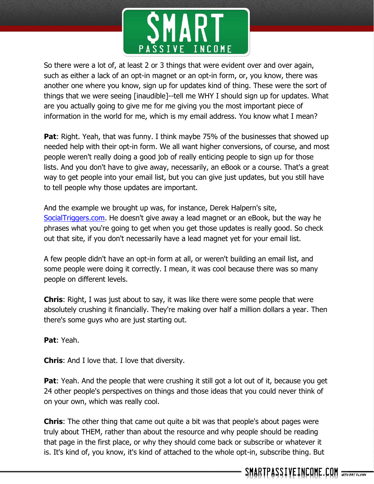

So there were a lot of, at least 2 or 3 things that were evident over and over again, such as either a lack of an opt-in magnet or an opt-in form, or, you know, there was another one where you know, sign up for updates kind of thing. These were the sort of things that we were seeing [inaudible]--tell me WHY I should sign up for updates. What are you actually going to give me for me giving you the most important piece of information in the world for me, which is my email address. You know what I mean?

**Pat:** Right. Yeah, that was funny. I think maybe 75% of the businesses that showed up needed help with their opt-in form. We all want higher conversions, of course, and most people weren't really doing a good job of really enticing people to sign up for those lists. And you don't have to give away, necessarily, an eBook or a course. That's a great way to get people into your email list, but you can give just updates, but you still have to tell people why those updates are important.

And the example we brought up was, for instance, Derek Halpern's site, [SocialTriggers.com.](http://socialtriggers.com/) He doesn't give away a lead magnet or an eBook, but the way he phrases what you're going to get when you get those updates is really good. So check out that site, if you don't necessarily have a lead magnet yet for your email list.

A few people didn't have an opt-in form at all, or weren't building an email list, and some people were doing it correctly. I mean, it was cool because there was so many people on different levels.

**Chris**: Right, I was just about to say, it was like there were some people that were absolutely crushing it financially. They're making over half a million dollars a year. Then there's some guys who are just starting out.

**Pat**: Yeah.

**Chris**: And I love that. I love that diversity.

**Pat**: Yeah. And the people that were crushing it still got a lot out of it, because you get 24 other people's perspectives on things and those ideas that you could never think of on your own, which was really cool.

**Chris**: The other thing that came out quite a bit was that people's about pages were truly about THEM, rather than about the resource and why people should be reading that page in the first place, or why they should come back or subscribe or whatever it is. It's kind of, you know, it's kind of attached to the whole opt-in, subscribe thing. But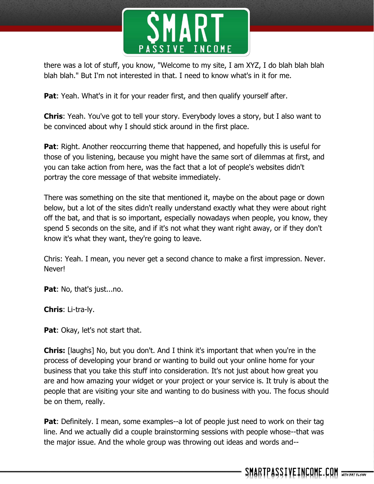

there was a lot of stuff, you know, "Welcome to my site, I am XYZ, I do blah blah blah blah blah." But I'm not interested in that. I need to know what's in it for me.

**Pat**: Yeah. What's in it for your reader first, and then qualify yourself after.

**Chris**: Yeah. You've got to tell your story. Everybody loves a story, but I also want to be convinced about why I should stick around in the first place.

**Pat**: Right. Another reoccurring theme that happened, and hopefully this is useful for those of you listening, because you might have the same sort of dilemmas at first, and you can take action from here, was the fact that a lot of people's websites didn't portray the core message of that website immediately.

There was something on the site that mentioned it, maybe on the about page or down below, but a lot of the sites didn't really understand exactly what they were about right off the bat, and that is so important, especially nowadays when people, you know, they spend 5 seconds on the site, and if it's not what they want right away, or if they don't know it's what they want, they're going to leave.

Chris: Yeah. I mean, you never get a second chance to make a first impression. Never. Never!

**Pat**: No, that's just...no.

**Chris**: Li-tra-ly.

**Pat:** Okay, let's not start that.

**Chris:** [laughs] No, but you don't. And I think it's important that when you're in the process of developing your brand or wanting to build out your online home for your business that you take this stuff into consideration. It's not just about how great you are and how amazing your widget or your project or your service is. It truly is about the people that are visiting your site and wanting to do business with you. The focus should be on them, really.

**Pat**: Definitely. I mean, some examples--a lot of people just need to work on their tag line. And we actually did a couple brainstorming sessions with people whose--that was the major issue. And the whole group was throwing out ideas and words and--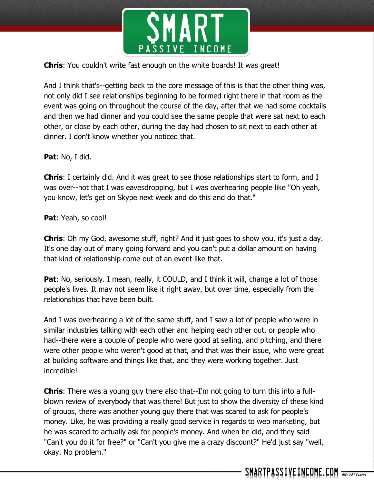

**Chris**: You couldn't write fast enough on the white boards! It was great!

And I think that's--getting back to the core message of this is that the other thing was, not only did I see relationships beginning to be formed right there in that room as the event was going on throughout the course of the day, after that we had some cocktails and then we had dinner and you could see the same people that were sat next to each other, or close by each other, during the day had chosen to sit next to each other at dinner. I don't know whether you noticed that.

**Pat**: No, I did.

**Chris**: I certainly did. And it was great to see those relationships start to form, and I was over--not that I was eavesdropping, but I was overhearing people like "Oh yeah, you know, let's get on Skype next week and do this and do that."

**Pat**: Yeah, so cool!

**Chris**: Oh my God, awesome stuff, right? And it just goes to show you, it's just a day. It's one day out of many going forward and you can't put a dollar amount on having that kind of relationship come out of an event like that.

**Pat:** No, seriously. I mean, really, it COULD, and I think it will, change a lot of those people's lives. It may not seem like it right away, but over time, especially from the relationships that have been built.

And I was overhearing a lot of the same stuff, and I saw a lot of people who were in similar industries talking with each other and helping each other out, or people who had--there were a couple of people who were good at selling, and pitching, and there were other people who weren't good at that, and that was their issue, who were great at building software and things like that, and they were working together. Just incredible!

**Chris**: There was a young guy there also that--I'm not going to turn this into a fullblown review of everybody that was there! But just to show the diversity of these kind of groups, there was another young guy there that was scared to ask for people's money. Like, he was providing a really good service in regards to web marketing, but he was scared to actually ask for people's money. And when he did, and they said "Can't you do it for free?" or "Can't you give me a crazy discount?" He'd just say "well, okay. No problem."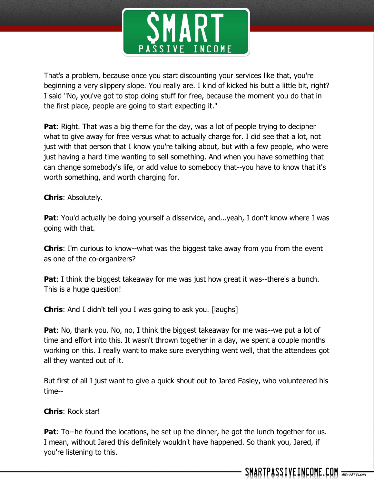

That's a problem, because once you start discounting your services like that, you're beginning a very slippery slope. You really are. I kind of kicked his butt a little bit, right? I said "No, you've got to stop doing stuff for free, because the moment you do that in the first place, people are going to start expecting it."

**Pat:** Right. That was a big theme for the day, was a lot of people trying to decipher what to give away for free versus what to actually charge for. I did see that a lot, not just with that person that I know you're talking about, but with a few people, who were just having a hard time wanting to sell something. And when you have something that can change somebody's life, or add value to somebody that--you have to know that it's worth something, and worth charging for.

**Chris**: Absolutely.

**Pat**: You'd actually be doing yourself a disservice, and...yeah, I don't know where I was going with that.

**Chris**: I'm curious to know--what was the biggest take away from you from the event as one of the co-organizers?

**Pat**: I think the biggest takeaway for me was just how great it was--there's a bunch. This is a huge question!

**Chris**: And I didn't tell you I was going to ask you. [laughs]

**Pat**: No, thank you. No, no, I think the biggest takeaway for me was--we put a lot of time and effort into this. It wasn't thrown together in a day, we spent a couple months working on this. I really want to make sure everything went well, that the attendees got all they wanted out of it.

But first of all I just want to give a quick shout out to Jared Easley, who volunteered his time--

**Chris**: Rock star!

**Pat**: To--he found the locations, he set up the dinner, he got the lunch together for us. I mean, without Jared this definitely wouldn't have happened. So thank you, Jared, if you're listening to this.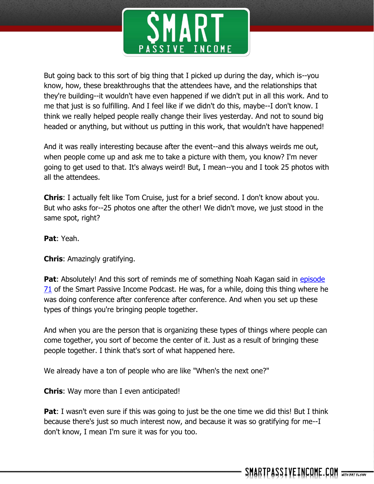

But going back to this sort of big thing that I picked up during the day, which is--you know, how, these breakthroughs that the attendees have, and the relationships that they're building--it wouldn't have even happened if we didn't put in all this work. And to me that just is so fulfilling. And I feel like if we didn't do this, maybe--I don't know. I think we really helped people really change their lives yesterday. And not to sound big headed or anything, but without us putting in this work, that wouldn't have happened!

And it was really interesting because after the event--and this always weirds me out, when people come up and ask me to take a picture with them, you know? I'm never going to get used to that. It's always weird! But, I mean--you and I took 25 photos with all the attendees.

**Chris**: I actually felt like Tom Cruise, just for a brief second. I don't know about you. But who asks for--25 photos one after the other! We didn't move, we just stood in the same spot, right?

**Pat**: Yeah.

**Chris**: Amazingly gratifying.

**Pat:** Absolutely! And this sort of reminds me of something Noah Kagan said in episode [71](http://www.smartpassiveincome.com/spi-071-successful-start-ups-millions-lost-and-everything-in-between-inside-the-mind-of-noah-kagan-from-appsumo/) of the Smart Passive Income Podcast. He was, for a while, doing this thing where he was doing conference after conference after conference. And when you set up these types of things you're bringing people together.

And when you are the person that is organizing these types of things where people can come together, you sort of become the center of it. Just as a result of bringing these people together. I think that's sort of what happened here.

We already have a ton of people who are like "When's the next one?"

**Chris**: Way more than I even anticipated!

**Pat**: I wasn't even sure if this was going to just be the one time we did this! But I think because there's just so much interest now, and because it was so gratifying for me--I don't know, I mean I'm sure it was for you too.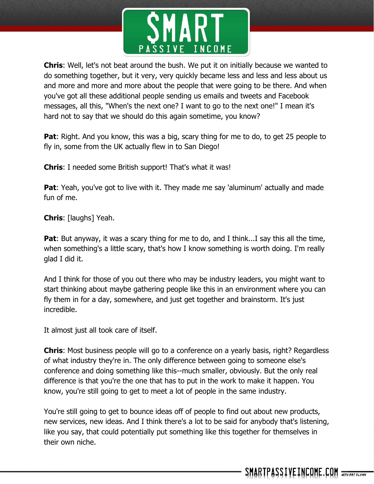

**Chris**: Well, let's not beat around the bush. We put it on initially because we wanted to do something together, but it very, very quickly became less and less and less about us and more and more and more about the people that were going to be there. And when you've got all these additional people sending us emails and tweets and Facebook messages, all this, "When's the next one? I want to go to the next one!" I mean it's hard not to say that we should do this again sometime, you know?

**Pat**: Right. And you know, this was a big, scary thing for me to do, to get 25 people to fly in, some from the UK actually flew in to San Diego!

**Chris**: I needed some British support! That's what it was!

**Pat**: Yeah, you've got to live with it. They made me say 'aluminum' actually and made fun of me.

**Chris**: [laughs] Yeah.

**Pat**: But anyway, it was a scary thing for me to do, and I think...I say this all the time, when something's a little scary, that's how I know something is worth doing. I'm really glad I did it.

And I think for those of you out there who may be industry leaders, you might want to start thinking about maybe gathering people like this in an environment where you can fly them in for a day, somewhere, and just get together and brainstorm. It's just incredible.

It almost just all took care of itself.

**Chris**: Most business people will go to a conference on a yearly basis, right? Regardless of what industry they're in. The only difference between going to someone else's conference and doing something like this--much smaller, obviously. But the only real difference is that you're the one that has to put in the work to make it happen. You know, you're still going to get to meet a lot of people in the same industry.

You're still going to get to bounce ideas off of people to find out about new products, new services, new ideas. And I think there's a lot to be said for anybody that's listening, like you say, that could potentially put something like this together for themselves in their own niche.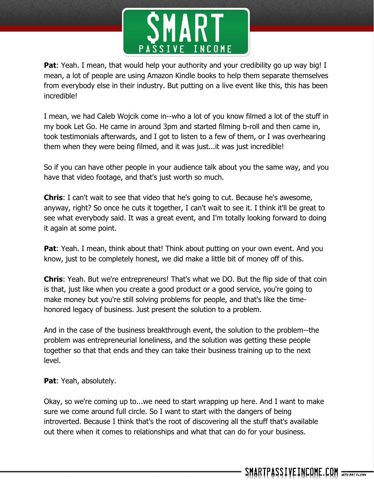

**Pat**: Yeah. I mean, that would help your authority and your credibility go up way big! I mean, a lot of people are using Amazon Kindle books to help them separate themselves from everybody else in their industry. But putting on a live event like this, this has been incredible!

I mean, we had Caleb Wojcik come in--who a lot of you know filmed a lot of the stuff in my book Let Go. He came in around 3pm and started filming b-roll and then came in, took testimonials afterwards, and I got to listen to a few of them, or I was overhearing them when they were being filmed, and it was just...it was just incredible!

So if you can have other people in your audience talk about you the same way, and you have that video footage, and that's just worth so much.

**Chris**: I can't wait to see that video that he's going to cut. Because he's awesome, anyway, right? So once he cuts it together, I can't wait to see it. I think it'll be great to see what everybody said. It was a great event, and I'm totally looking forward to doing it again at some point.

**Pat:** Yeah. I mean, think about that! Think about putting on your own event. And you know, just to be completely honest, we did make a little bit of money off of this.

**Chris**: Yeah. But we're entrepreneurs! That's what we DO. But the flip side of that coin is that, just like when you create a good product or a good service, you're going to make money but you're still solving problems for people, and that's like the timehonored legacy of business. Just present the solution to a problem.

And in the case of the business breakthrough event, the solution to the problem--the problem was entrepreneurial loneliness, and the solution was getting these people together so that that ends and they can take their business training up to the next level.

**Pat**: Yeah, absolutely.

Okay, so we're coming up to...we need to start wrapping up here. And I want to make sure we come around full circle. So I want to start with the dangers of being introverted. Because I think that's the root of discovering all the stuff that's available out there when it comes to relationships and what that can do for your business.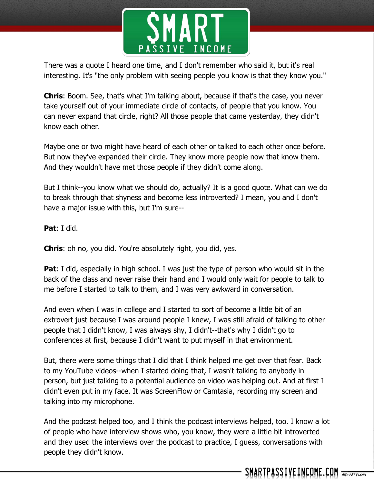

There was a quote I heard one time, and I don't remember who said it, but it's real interesting. It's "the only problem with seeing people you know is that they know you."

**Chris**: Boom. See, that's what I'm talking about, because if that's the case, you never take yourself out of your immediate circle of contacts, of people that you know. You can never expand that circle, right? All those people that came yesterday, they didn't know each other.

Maybe one or two might have heard of each other or talked to each other once before. But now they've expanded their circle. They know more people now that know them. And they wouldn't have met those people if they didn't come along.

But I think--you know what we should do, actually? It is a good quote. What can we do to break through that shyness and become less introverted? I mean, you and I don't have a major issue with this, but I'm sure--

**Pat**: I did.

**Chris**: oh no, you did. You're absolutely right, you did, yes.

**Pat**: I did, especially in high school. I was just the type of person who would sit in the back of the class and never raise their hand and I would only wait for people to talk to me before I started to talk to them, and I was very awkward in conversation.

And even when I was in college and I started to sort of become a little bit of an extrovert just because I was around people I knew, I was still afraid of talking to other people that I didn't know, I was always shy, I didn't--that's why I didn't go to conferences at first, because I didn't want to put myself in that environment.

But, there were some things that I did that I think helped me get over that fear. Back to my YouTube videos--when I started doing that, I wasn't talking to anybody in person, but just talking to a potential audience on video was helping out. And at first I didn't even put in my face. It was ScreenFlow or Camtasia, recording my screen and talking into my microphone.

And the podcast helped too, and I think the podcast interviews helped, too. I know a lot of people who have interview shows who, you know, they were a little bit introverted and they used the interviews over the podcast to practice, I guess, conversations with people they didn't know.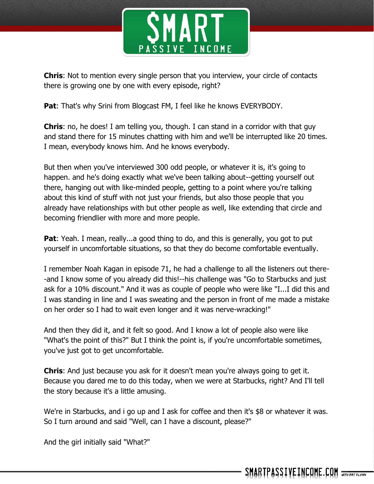

**Chris**: Not to mention every single person that you interview, your circle of contacts there is growing one by one with every episode, right?

**Pat**: That's why Srini from Blogcast FM, I feel like he knows EVERYBODY.

**Chris**: no, he does! I am telling you, though. I can stand in a corridor with that guy and stand there for 15 minutes chatting with him and we'll be interrupted like 20 times. I mean, everybody knows him. And he knows everybody.

But then when you've interviewed 300 odd people, or whatever it is, it's going to happen. and he's doing exactly what we've been talking about--getting yourself out there, hanging out with like-minded people, getting to a point where you're talking about this kind of stuff with not just your friends, but also those people that you already have relationships with but other people as well, like extending that circle and becoming friendlier with more and more people.

**Pat:** Yeah. I mean, really...a good thing to do, and this is generally, you got to put yourself in uncomfortable situations, so that they do become comfortable eventually.

I remember Noah Kagan in episode 71, he had a challenge to all the listeners out there- -and I know some of you already did this!--his challenge was "Go to Starbucks and just ask for a 10% discount." And it was as couple of people who were like "I...I did this and I was standing in line and I was sweating and the person in front of me made a mistake on her order so I had to wait even longer and it was nerve-wracking!"

And then they did it, and it felt so good. And I know a lot of people also were like "What's the point of this?" But I think the point is, if you're uncomfortable sometimes, you've just got to get uncomfortable.

**Chris**: And just because you ask for it doesn't mean you're always going to get it. Because you dared me to do this today, when we were at Starbucks, right? And I'll tell the story because it's a little amusing.

We're in Starbucks, and i go up and I ask for coffee and then it's \$8 or whatever it was. So I turn around and said "Well, can I have a discount, please?"

And the girl initially said "What?"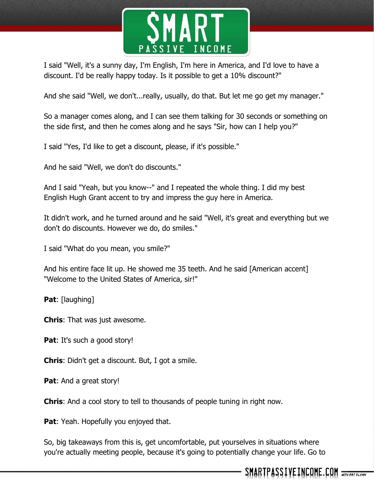

I said "Well, it's a sunny day, I'm English, I'm here in America, and I'd love to have a discount. I'd be really happy today. Is it possible to get a 10% discount?"

And she said "Well, we don't...really, usually, do that. But let me go get my manager."

So a manager comes along, and I can see them talking for 30 seconds or something on the side first, and then he comes along and he says "Sir, how can I help you?"

I said "Yes, I'd like to get a discount, please, if it's possible."

And he said "Well, we don't do discounts."

And I said "Yeah, but you know--" and I repeated the whole thing. I did my best English Hugh Grant accent to try and impress the guy here in America.

It didn't work, and he turned around and he said "Well, it's great and everything but we don't do discounts. However we do, do smiles."

I said "What do you mean, you smile?"

And his entire face lit up. He showed me 35 teeth. And he said [American accent] "Welcome to the United States of America, sir!"

Pat: [laughing]

**Chris**: That was just awesome.

**Pat:** It's such a good story!

**Chris**: Didn't get a discount. But, I got a smile.

**Pat**: And a great story!

**Chris**: And a cool story to tell to thousands of people tuning in right now.

**Pat**: Yeah. Hopefully you enjoyed that.

So, big takeaways from this is, get uncomfortable, put yourselves in situations where you're actually meeting people, because it's going to potentially change your life. Go to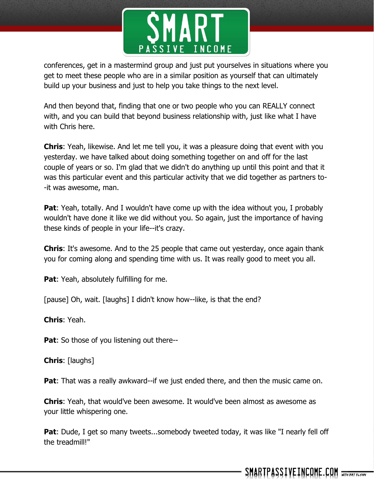

conferences, get in a mastermind group and just put yourselves in situations where you get to meet these people who are in a similar position as yourself that can ultimately build up your business and just to help you take things to the next level.

And then beyond that, finding that one or two people who you can REALLY connect with, and you can build that beyond business relationship with, just like what I have with Chris here.

**Chris**: Yeah, likewise. And let me tell you, it was a pleasure doing that event with you yesterday. we have talked about doing something together on and off for the last couple of years or so. I'm glad that we didn't do anything up until this point and that it was this particular event and this particular activity that we did together as partners to- -it was awesome, man.

**Pat**: Yeah, totally. And I wouldn't have come up with the idea without you, I probably wouldn't have done it like we did without you. So again, just the importance of having these kinds of people in your life--it's crazy.

**Chris**: It's awesome. And to the 25 people that came out yesterday, once again thank you for coming along and spending time with us. It was really good to meet you all.

**Pat:** Yeah, absolutely fulfilling for me.

[pause] Oh, wait. [laughs] I didn't know how--like, is that the end?

**Chris**: Yeah.

**Pat:** So those of you listening out there--

**Chris**: [laughs]

**Pat**: That was a really awkward--if we just ended there, and then the music came on.

**Chris**: Yeah, that would've been awesome. It would've been almost as awesome as your little whispering one.

**Pat**: Dude, I get so many tweets...somebody tweeted today, it was like "I nearly fell off the treadmill!"